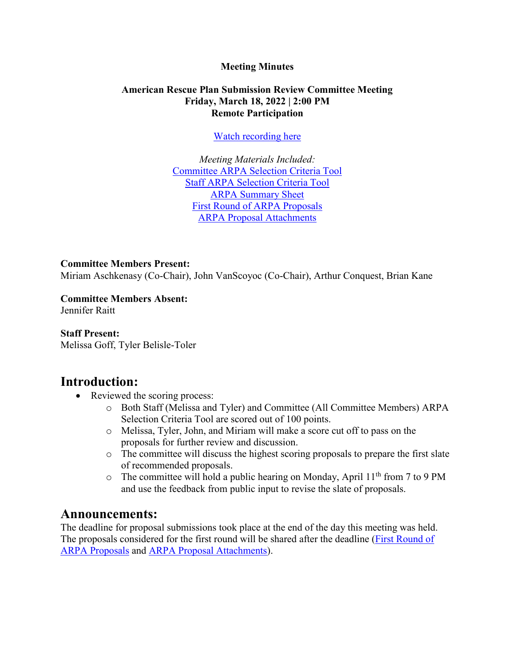### **Meeting Minutes**

### **American Rescue Plan Submission Review Committee Meeting Friday, March 18, 2022 | 2:00 PM Remote Participation**

[Watch recording here](https://www.youtube.com/watch?v=7d3wOBhUEmA)

*Meeting Materials Included:* [Committee ARPA Selection Criteria Tool](https://www.brooklinema.gov/DocumentCenter/View/29717/Committee-ARPA-Selection-Criteria-Tool) Staff [ARPA Selection Criteria Tool](https://www.brooklinema.gov/DocumentCenter/View/29716/Staff-ARPA-Selection-Criteria-Tool) [ARPA Summary Sheet](https://www.brooklinema.gov/DocumentCenter/View/30020/ARPA-Proposal-Summary-Sheet) [First Round of ARPA Proposals](https://www.brooklinema.gov/DocumentCenter/View/30022/First-Round---ARPA-Proposal-Submissions) [ARPA Proposal Attachments](https://www.brooklinema.gov/DocumentCenter/Index/2386)

#### **Committee Members Present:**

Miriam Aschkenasy (Co-Chair), John VanScoyoc (Co-Chair), Arthur Conquest, Brian Kane

**Committee Members Absent:** Jennifer Raitt

#### **Staff Present:**

Melissa Goff, Tyler Belisle-Toler

## **Introduction:**

- Reviewed the scoring process:
	- o Both Staff (Melissa and Tyler) and Committee (All Committee Members) ARPA Selection Criteria Tool are scored out of 100 points.
	- o Melissa, Tyler, John, and Miriam will make a score cut off to pass on the proposals for further review and discussion.
	- o The committee will discuss the highest scoring proposals to prepare the first slate of recommended proposals.
	- $\circ$  The committee will hold a public hearing on Monday, April 11<sup>th</sup> from 7 to 9 PM and use the feedback from public input to revise the slate of proposals.

## **Announcements:**

The deadline for proposal submissions took place at the end of the day this meeting was held. The proposals considered for the first round will be shared after the deadline [\(First Round of](https://www.brooklinema.gov/DocumentCenter/View/30022/First-Round---ARPA-Proposal-Submissions) [ARPA Proposals](https://www.brooklinema.gov/DocumentCenter/View/30022/First-Round---ARPA-Proposal-Submissions) and [ARPA Proposal Attachments\)](https://www.brooklinema.gov/DocumentCenter/Index/2386).